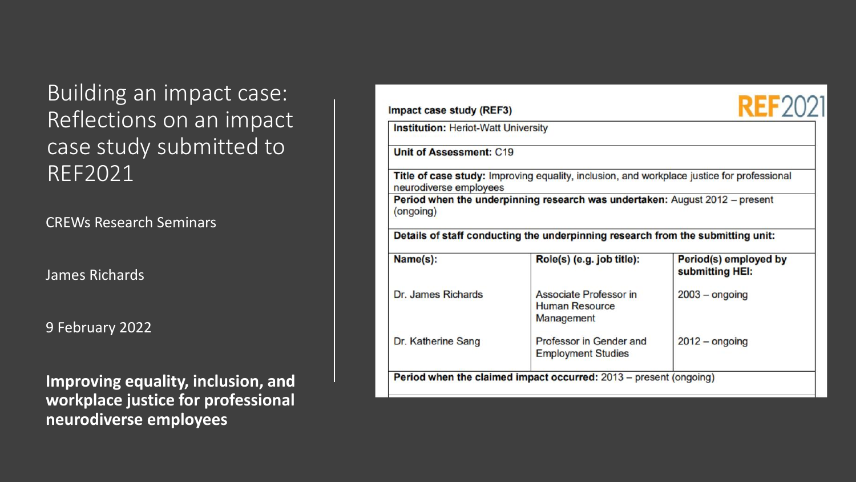Building an impact case: Reflections on an impact case study submitted to REF2021

CREWs Research Seminars

James Richards

9 February 2022

**Improving equality, inclusion, and workplace justice for professional neurodiverse employees**

| <b>Institution: Heriot-Watt University</b> |                                                                                                   |                                          |
|--------------------------------------------|---------------------------------------------------------------------------------------------------|------------------------------------------|
| <b>Unit of Assessment: C19</b>             |                                                                                                   |                                          |
| neurodiverse employees                     | <b>Title of case study:</b> Improving equality, inclusion, and workplace justice for professional |                                          |
| (ongoing)                                  | Period when the underpinning research was undertaken: August 2012 - present                       |                                          |
|                                            | Details of staff conducting the underpinning research from the submitting unit:                   |                                          |
|                                            |                                                                                                   |                                          |
| Name(s):                                   | Role(s) (e.g. job title):                                                                         | Period(s) employed by<br>submitting HEI: |
| Dr. James Richards                         | Associate Professor in<br><b>Human Resource</b><br>Management                                     | $2003 -$ ongoing                         |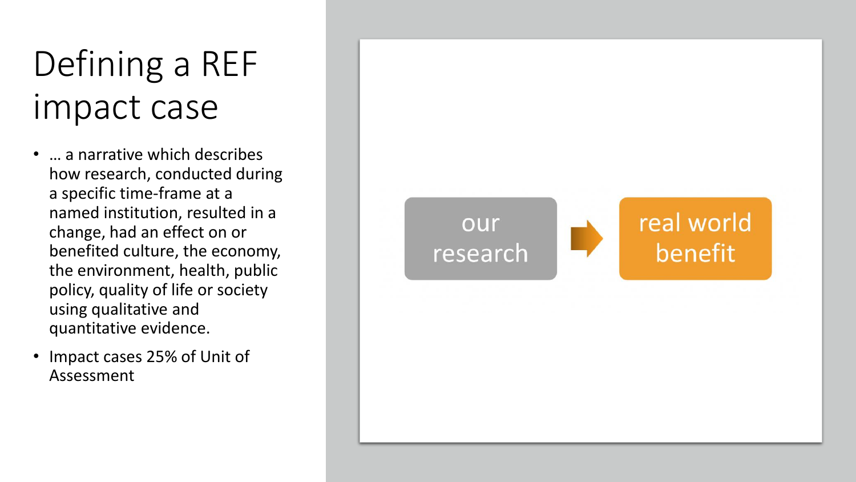## Defining a REF impact case

- ... a narrative which describes how research, conducted during a specific time-frame at a named institution, resulted in a change, had an effect on or benefited culture, the economy, the environment, health, public policy, quality of life or society using qualitative and quantitative evidence.
- Impact cases 25% of Unit of Assessment

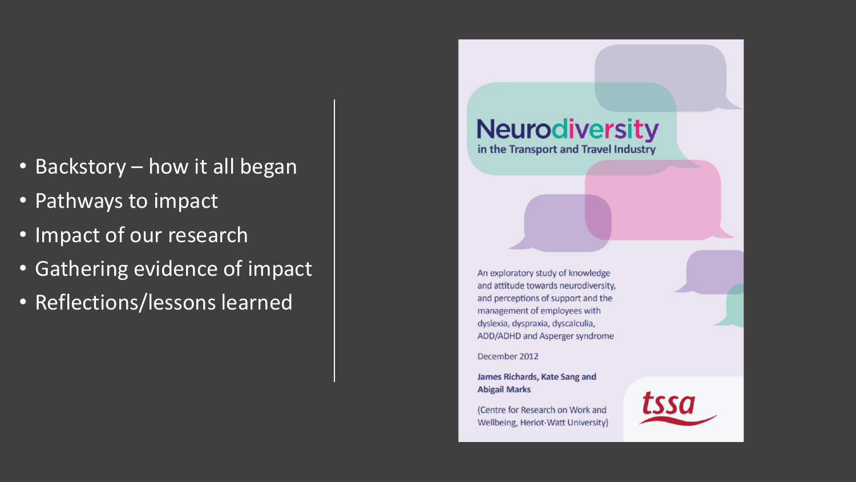- Backstory how it all began
- Pathways to impact
- Impact of our research
- Gathering evidence of impact
- Reflections/lessons learned

## **Neurodiversity**

in the Transport and Travel Industry

An exploratory study of knowledge and attitude towards neurodiversity, and perceptions of support and the management of employees with dyslexia, dyspraxia, dyscalculia, ADD/ADHD and Asperger syndrome

December 2012

James Richards, Kate Sang and **Abigail Marks** 

(Centre for Research on Work and Wellbeing, Heriot-Watt University)

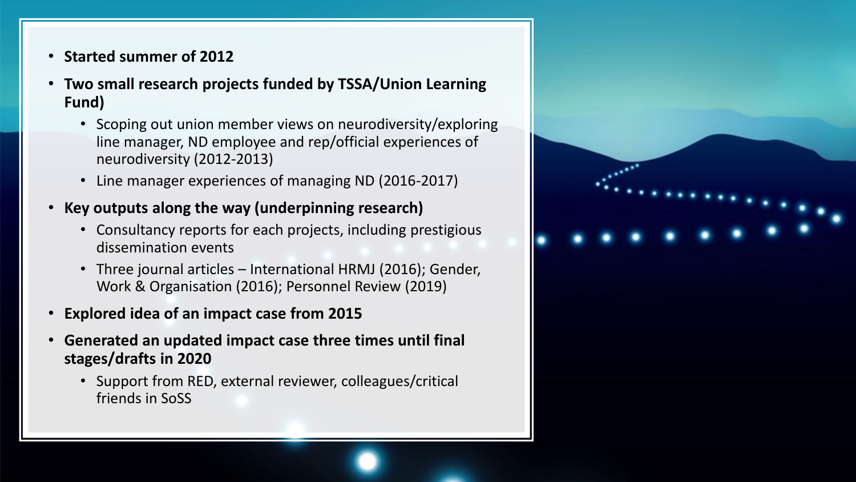- **Started summer of 2012**
- **Two small research projects funded by TSSA/Union Learning Fund)**
	- Scoping out union member views on neurodiversity/exploring line manager, ND employee and rep/official experiences of neurodiversity (2012-2013)
	- Line manager experiences of managing ND (2016-2017)
- **Key outputs along the way (underpinning research)**
	- Consultancy reports for each projects, including prestigious dissemination events
	- Three journal articles International HRMJ (2016); Gender, Work & Organisation (2016); Personnel Review (2019)
- **Explored idea of an impact case from 2015**
- **Generated an updated impact case three times until final stages/drafts in 2020**
	- Support from RED, external reviewer, colleagues/critical friends in SoSS

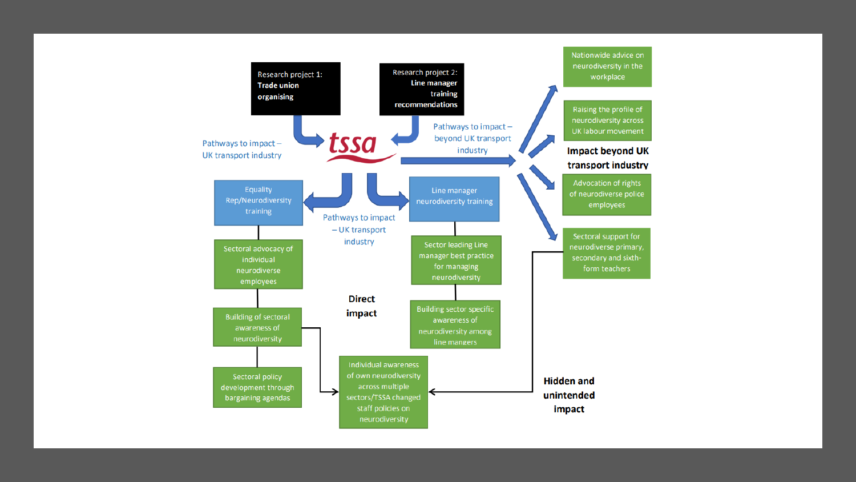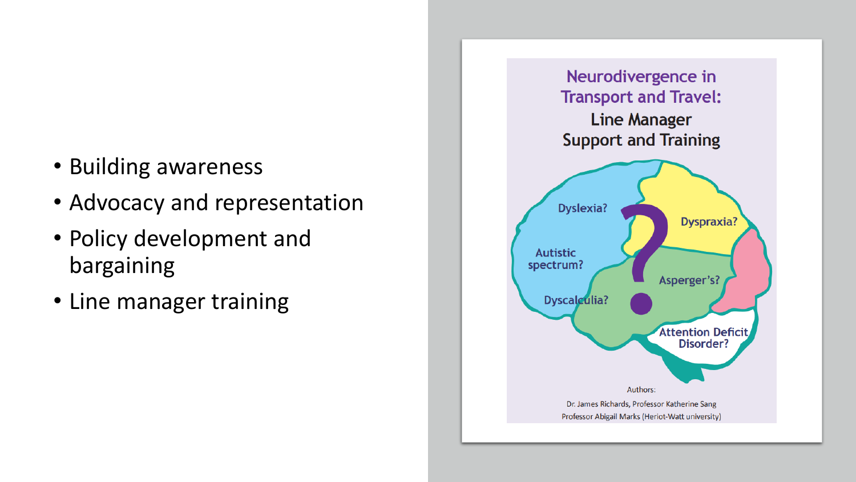- Building awareness
- Advocacy and representation
- Policy development and bargaining
- Line manager training

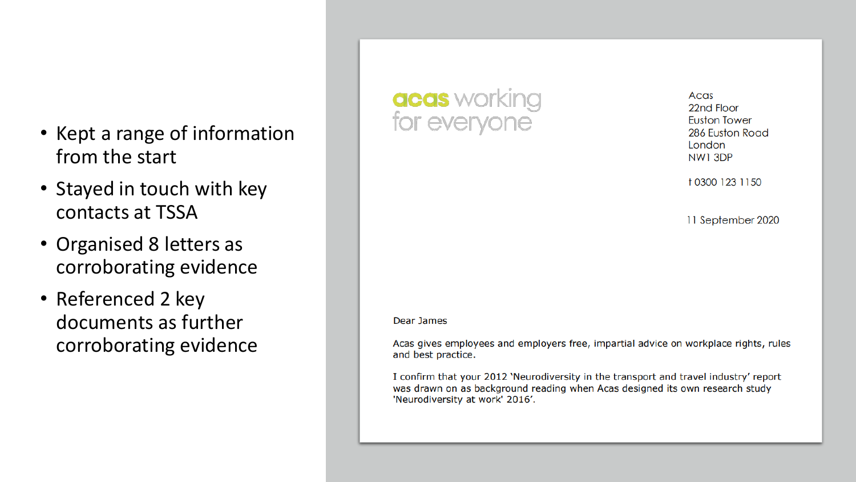- Kept a range of information from the start
- Stayed in touch with key contacts at TSSA
- Organised 8 letters as corroborating evidence
- Referenced 2 key documents as further corroborating evidence

## acas working<br>for everyone

Acas 22nd Floor **Euston Tower** 286 Euston Road London NW1 3DP

10300 123 1150

11 September 2020

## Dear James

Acas gives employees and employers free, impartial advice on workplace rights, rules and best practice.

I confirm that your 2012 'Neurodiversity in the transport and travel industry' report was drawn on as background reading when Acas designed its own research study 'Neurodiversity at work' 2016'.